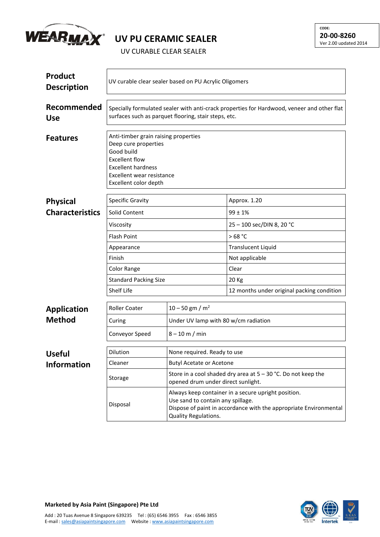

## **UV PU CERAMIC SEALER**

UV CURABLE CLEAR SEALER

| <b>Product</b><br><b>Description</b> | UV curable clear sealer based on PU Acrylic Oligomers                                                                                                                                  |                                                                                                                                                                                       |                                            |  |  |
|--------------------------------------|----------------------------------------------------------------------------------------------------------------------------------------------------------------------------------------|---------------------------------------------------------------------------------------------------------------------------------------------------------------------------------------|--------------------------------------------|--|--|
| Recommended<br><b>Use</b>            | Specially formulated sealer with anti-crack properties for Hardwood, veneer and other flat<br>surfaces such as parquet flooring, stair steps, etc.                                     |                                                                                                                                                                                       |                                            |  |  |
| <b>Features</b>                      | Anti-timber grain raising properties<br>Deep cure properties<br>Good build<br><b>Excellent flow</b><br><b>Excellent hardness</b><br>Excellent wear resistance<br>Excellent color depth |                                                                                                                                                                                       |                                            |  |  |
| <b>Physical</b>                      | <b>Specific Gravity</b>                                                                                                                                                                |                                                                                                                                                                                       | Approx. 1.20                               |  |  |
| <b>Characteristics</b>               | Solid Content                                                                                                                                                                          |                                                                                                                                                                                       | $99 \pm 1\%$                               |  |  |
|                                      | Viscosity                                                                                                                                                                              |                                                                                                                                                                                       | 25 - 100 sec/DIN 8, 20 °C                  |  |  |
|                                      | <b>Flash Point</b>                                                                                                                                                                     |                                                                                                                                                                                       | >68 °C                                     |  |  |
|                                      | Appearance                                                                                                                                                                             |                                                                                                                                                                                       | <b>Translucent Liquid</b>                  |  |  |
|                                      | Finish                                                                                                                                                                                 |                                                                                                                                                                                       | Not applicable                             |  |  |
|                                      | Color Range                                                                                                                                                                            |                                                                                                                                                                                       | Clear                                      |  |  |
|                                      | <b>Standard Packing Size</b>                                                                                                                                                           |                                                                                                                                                                                       | 20 Kg                                      |  |  |
|                                      | Shelf Life                                                                                                                                                                             |                                                                                                                                                                                       | 12 months under original packing condition |  |  |
| <b>Application</b>                   | <b>Roller Coater</b>                                                                                                                                                                   | $10 - 50$ gm / m <sup>2</sup>                                                                                                                                                         |                                            |  |  |
| <b>Method</b>                        | Curing                                                                                                                                                                                 | Under UV lamp with 80 w/cm radiation                                                                                                                                                  |                                            |  |  |
|                                      | Conveyor Speed                                                                                                                                                                         | $8 - 10$ m / min                                                                                                                                                                      |                                            |  |  |
| <b>Useful</b>                        | Dilution                                                                                                                                                                               | None required. Ready to use                                                                                                                                                           |                                            |  |  |
| <b>Information</b>                   | Cleaner                                                                                                                                                                                | <b>Butyl Acetate or Acetone</b>                                                                                                                                                       |                                            |  |  |
|                                      | Storage                                                                                                                                                                                | Store in a cool shaded dry area at $5 - 30$ °C. Do not keep the<br>opened drum under direct sunlight.                                                                                 |                                            |  |  |
|                                      | Disposal                                                                                                                                                                               | Always keep container in a secure upright position.<br>Use sand to contain any spillage.<br>Dispose of paint in accordance with the appropriate Environmental<br>Quality Regulations. |                                            |  |  |